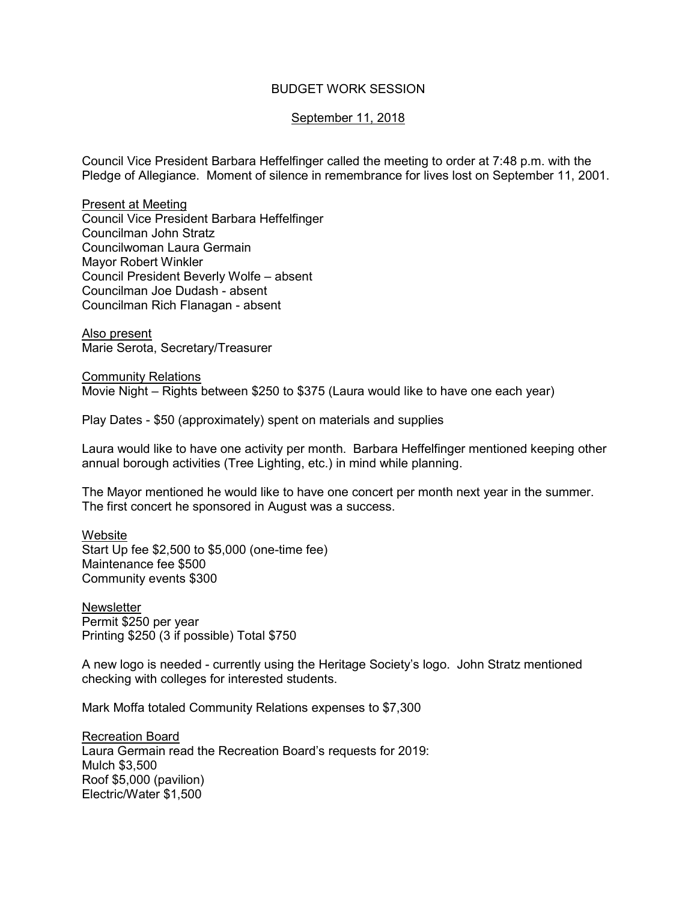## BUDGET WORK SESSION

## September 11, 2018

Council Vice President Barbara Heffelfinger called the meeting to order at 7:48 p.m. with the Pledge of Allegiance. Moment of silence in remembrance for lives lost on September 11, 2001.

Present at Meeting Council Vice President Barbara Heffelfinger Councilman John Stratz Councilwoman Laura Germain Mayor Robert Winkler Council President Beverly Wolfe – absent Councilman Joe Dudash - absent Councilman Rich Flanagan - absent

Also present Marie Serota, Secretary/Treasurer

Community Relations Movie Night – Rights between \$250 to \$375 (Laura would like to have one each year)

Play Dates - \$50 (approximately) spent on materials and supplies

Laura would like to have one activity per month. Barbara Heffelfinger mentioned keeping other annual borough activities (Tree Lighting, etc.) in mind while planning.

The Mayor mentioned he would like to have one concert per month next year in the summer. The first concert he sponsored in August was a success.

**Website** Start Up fee \$2,500 to \$5,000 (one-time fee) Maintenance fee \$500 Community events \$300

**Newsletter** Permit \$250 per year Printing \$250 (3 if possible) Total \$750

A new logo is needed - currently using the Heritage Society's logo. John Stratz mentioned checking with colleges for interested students.

Mark Moffa totaled Community Relations expenses to \$7,300

Recreation Board Laura Germain read the Recreation Board's requests for 2019: Mulch \$3,500 Roof \$5,000 (pavilion) Electric/Water \$1,500